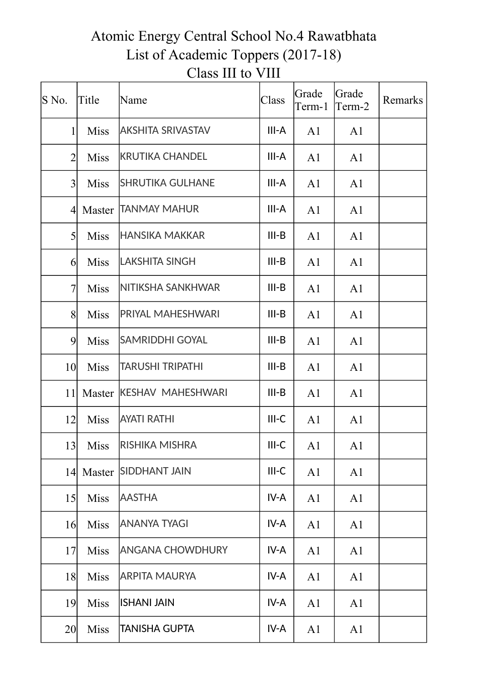| S No.            | Title       | Name                     | Class   | Grade<br>Term-1 | Grade<br>Term-2 | Remarks |
|------------------|-------------|--------------------------|---------|-----------------|-----------------|---------|
| $\mathbf{1}$     | <b>Miss</b> | <b>AKSHITA SRIVASTAV</b> | III-A   | A <sub>1</sub>  | A <sub>1</sub>  |         |
| $\overline{2}$   | <b>Miss</b> | <b>KRUTIKA CHANDEL</b>   | III-A   | A <sub>1</sub>  | A <sub>1</sub>  |         |
| $\overline{3}$   | <b>Miss</b> | ISHRUTIKA GULHANE        | III-A   | A <sub>1</sub>  | A <sub>1</sub>  |         |
| $\left 4\right $ | Master      | <b>TANMAY MAHUR</b>      | III-A   | A <sub>1</sub>  | A <sub>1</sub>  |         |
| $\mathfrak{H}$   | <b>Miss</b> | HANSIKA MAKKAR           | $III-B$ | A <sub>1</sub>  | A <sub>1</sub>  |         |
| 6                | <b>Miss</b> | LAKSHITA SINGH           | $III-B$ | A <sub>1</sub>  | A <sub>1</sub>  |         |
| 7                | <b>Miss</b> | NITIKSHA SANKHWAR        | $III-B$ | A <sub>1</sub>  | A <sub>1</sub>  |         |
| 8                | Miss        | PRIYAL MAHESHWARI        | $III-B$ | A <sub>1</sub>  | A <sub>1</sub>  |         |
| $\overline{9}$   | <b>Miss</b> | <b>SAMRIDDHI GOYAL</b>   | $III-B$ | A <sub>1</sub>  | A <sub>1</sub>  |         |
| 10               | Miss        | <b>TARUSHI TRIPATHI</b>  | $III-B$ | A <sub>1</sub>  | A1              |         |
| 11               |             | Master KESHAV MAHESHWARI | $III-B$ | A <sub>1</sub>  | A <sub>1</sub>  |         |
| 12               | <b>Miss</b> | <b>AYATI RATHI</b>       | $III-C$ | A <sub>1</sub>  | A <sub>1</sub>  |         |
| 3                |             | Miss   RISHIKA MISHRA    | $III-C$ | A <sub>1</sub>  | A1              |         |
|                  | 14 Master   | <b>SIDDHANT JAIN</b>     | $III-C$ | A1              | A1              |         |
| 15               | <b>Miss</b> | <b>AASTHA</b>            | IV-A    | A <sub>1</sub>  | A <sub>1</sub>  |         |
| 16               | <b>Miss</b> | <b>ANANYA TYAGI</b>      | IV-A    | A <sub>1</sub>  | A1              |         |
| 17               | <b>Miss</b> | <b>ANGANA CHOWDHURY</b>  | IV-A    | A <sub>1</sub>  | A <sub>1</sub>  |         |
| 18               | <b>Miss</b> | <b>ARPITA MAURYA</b>     | IV-A    | A <sub>1</sub>  | A1              |         |
| 19               | <b>Miss</b> | <b>ISHANI JAIN</b>       | IV-A    | A <sub>1</sub>  | A1              |         |
| 20               | <b>Miss</b> | <b>TANISHA GUPTA</b>     | IV-A    | A <sub>1</sub>  | A <sub>1</sub>  |         |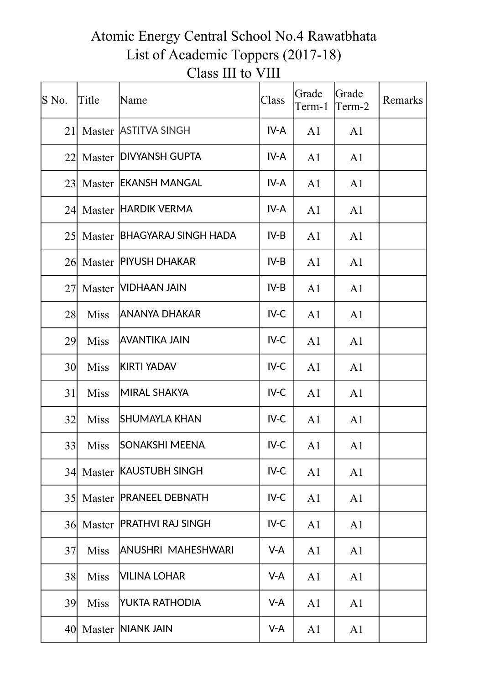| S No. | Title       | Name                              | Class  | Grade<br>Term-1 | Grade<br>Term-2 | Remarks |
|-------|-------------|-----------------------------------|--------|-----------------|-----------------|---------|
| 21    |             | Master   ASTITVA SINGH            | IV-A   | A <sub>1</sub>  | A <sub>1</sub>  |         |
| 22    |             | Master   DIVYANSH GUPTA           | IV-A   | A <sub>1</sub>  | A <sub>1</sub>  |         |
| 23    |             | Master   EKANSH MANGAL            | IV-A   | A <sub>1</sub>  | A <sub>1</sub>  |         |
| 24    |             | Master  HARDIK VERMA              | IV-A   | A <sub>1</sub>  | A <sub>1</sub>  |         |
|       |             | 25  Master   BHAGYARAJ SINGH HADA | $IV-B$ | A <sub>1</sub>  | A <sub>1</sub>  |         |
| 26    |             | Master   PIYUSH DHAKAR            | $IV-B$ | A <sub>1</sub>  | A <sub>1</sub>  |         |
| 27    |             | Master   VIDHAAN JAIN             | $IV-B$ | A <sub>1</sub>  | A <sub>1</sub>  |         |
| 28    | <b>Miss</b> | <b>ANANYA DHAKAR</b>              | $IV-C$ | A <sub>1</sub>  | A <sub>1</sub>  |         |
| 29    | <b>Miss</b> | AVANTIKA JAIN                     | $IV-C$ | A <sub>1</sub>  | A <sub>1</sub>  |         |
| 30    | <b>Miss</b> | <b>KIRTI YADAV</b>                | $IV-C$ | A <sub>1</sub>  | A1              |         |
| 31    | <b>Miss</b> | MIRAL SHAKYA                      | $IV-C$ | A <sub>1</sub>  | A <sub>1</sub>  |         |
| 32    | <b>Miss</b> | SHUMAYLA KHAN                     | $IV-C$ | A <sub>1</sub>  | A <sub>1</sub>  |         |
| 33    | Miss        | <b>SONAKSHI MEENA</b>             | $IV-C$ | A <sub>1</sub>  | A <sub>1</sub>  |         |
|       |             | 34 Master KAUSTUBH SINGH          | IV-C   | A <sub>1</sub>  | A1              |         |
|       |             | 35 Master   PRANEEL DEBNATH       | $IV-C$ | A <sub>1</sub>  | A <sub>1</sub>  |         |
|       | 36 Master   | <b>PRATHVI RAJ SINGH</b>          | IV-C   | A <sub>1</sub>  | A <sub>1</sub>  |         |
| 37    | <b>Miss</b> | ANUSHRI MAHESHWARI                | V-A    | A <sub>1</sub>  | A <sub>1</sub>  |         |
| 38    | <b>Miss</b> | VILINA LOHAR                      | V-A    | A <sub>1</sub>  | A <sub>1</sub>  |         |
| 39    | <b>Miss</b> | YUKTA RATHODIA                    | V-A    | A <sub>1</sub>  | A <sub>1</sub>  |         |
| 40    |             | Master  NIANK JAIN                | V-A    | A <sub>1</sub>  | A <sub>1</sub>  |         |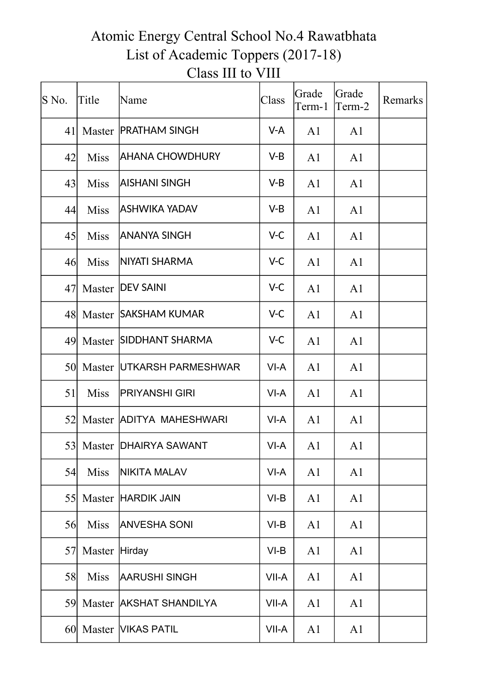| S No.           | Title         | Name                         | Class   | Grade<br>Term-1 | Grade<br>Term-2 | Remarks |
|-----------------|---------------|------------------------------|---------|-----------------|-----------------|---------|
| 41              |               | Master   PRATHAM SINGH       | V-A     | A <sub>1</sub>  | A <sub>1</sub>  |         |
| 42              | <b>Miss</b>   | AHANA CHOWDHURY              | $V-B$   | A <sub>1</sub>  | A <sub>1</sub>  |         |
| 43              | <b>Miss</b>   | AISHANI SINGH                | $V-B$   | A <sub>1</sub>  | A <sub>1</sub>  |         |
| 44              | <b>Miss</b>   | ASHWIKA YADAV                | V-B     | A <sub>1</sub>  | A <sub>1</sub>  |         |
| 45              | <b>Miss</b>   | ANANYA SINGH                 | $V-C$   | A <sub>1</sub>  | A <sub>1</sub>  |         |
| 46              | <b>Miss</b>   | <b>INIYATI SHARMA</b>        | $V-C$   | A <sub>1</sub>  | A <sub>1</sub>  |         |
| 47              |               | Master <b>DEV SAINI</b>      | $V-C$   | A <sub>1</sub>  | A <sub>1</sub>  |         |
|                 |               | 48 Master SAKSHAM KUMAR      | $V-C$   | A <sub>1</sub>  | A <sub>1</sub>  |         |
|                 |               | 49 Master SIDDHANT SHARMA    | $V-C$   | A <sub>1</sub>  | A <sub>1</sub>  |         |
|                 |               | 50 Master UTKARSH PARMESHWAR | $VI-A$  | A <sub>1</sub>  | A <sub>1</sub>  |         |
| 51              | <b>Miss</b>   | <b>PRIYANSHI GIRI</b>        | $VI-A$  | A <sub>1</sub>  | A <sub>1</sub>  |         |
| 52              |               | Master ADITYA MAHESHWARI     | $VI-A$  | A <sub>1</sub>  | A <sub>1</sub>  |         |
|                 |               | 53 Master DHAIRYA SAWANT     | VI-A    | A <sub>1</sub>  | A <sub>1</sub>  |         |
| 54              | Miss          | <b>NIKITA MALAV</b>          | $VI-A$  | A1              | A1              |         |
| 55 <sup> </sup> |               | Master HARDIK JAIN           | $VI-B$  | A <sub>1</sub>  | A <sub>1</sub>  |         |
| 56              | Miss          | <b>ANVESHA SONI</b>          | $VI-B$  | A <sub>1</sub>  | A <sub>1</sub>  |         |
| 57              | Master Hirday |                              | $VI-B$  | A <sub>1</sub>  | A <sub>1</sub>  |         |
| 58              | <b>Miss</b>   | AARUSHI SINGH                | VII-A   | A <sub>1</sub>  | A <sub>1</sub>  |         |
| 59              |               | Master AKSHAT SHANDILYA      | VII-A   | A1              | A <sub>1</sub>  |         |
|                 |               | 60 Master   VIKAS PATIL      | $VII-A$ | A <sub>1</sub>  | A <sub>1</sub>  |         |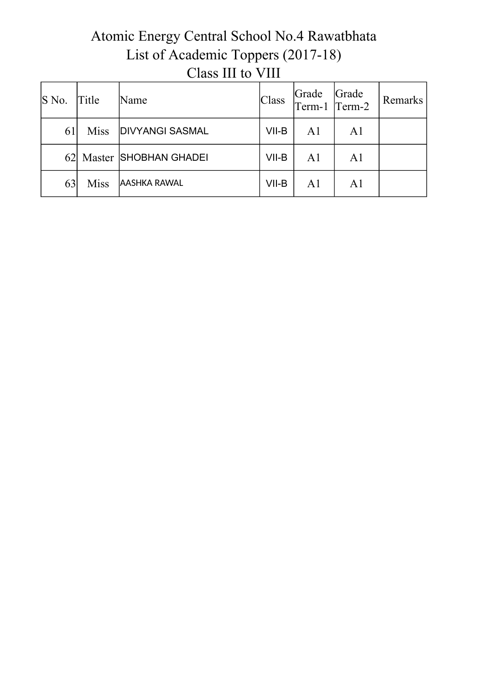| $\mathbf{\mathsf{S}}$ No. | Title       | Name                     | <b>Class</b> | Grade<br>$\text{Term-1}$ $\text{Term-2}$ | Grade          | Remarks |
|---------------------------|-------------|--------------------------|--------------|------------------------------------------|----------------|---------|
| 61                        | <b>Miss</b> | <b>DIVYANGI SASMAL</b>   | VII-B        | A <sub>1</sub>                           | A <sub>1</sub> |         |
|                           |             | 62 Master SHOBHAN GHADEI | VII-B        | A <sub>1</sub>                           | A <sub>1</sub> |         |
| 63                        | <b>Miss</b> | <b>AASHKA RAWAL</b>      | $VII-B$      | A <sub>1</sub>                           | A <sub>1</sub> |         |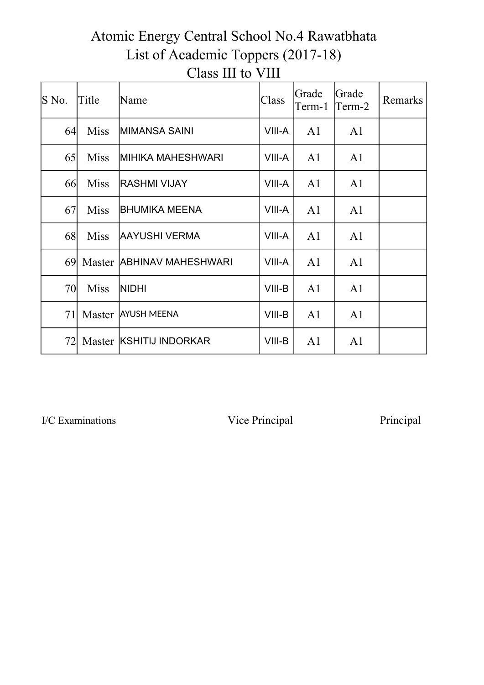| S No. | Title       | Name                      | Grade<br>Class<br>Term-1 |                | Grade<br>Term-2 | Remarks |
|-------|-------------|---------------------------|--------------------------|----------------|-----------------|---------|
| 64    | <b>Miss</b> | IMIMANSA SAINI            | VIII-A<br>A <sub>1</sub> |                | A1              |         |
| 65    | <b>Miss</b> | <b>MIHIKA MAHESHWARI</b>  | VIII-A                   | A <sub>1</sub> |                 |         |
| 66    | <b>Miss</b> | <b>RASHMI VIJAY</b>       | VIII-A                   | A <sub>1</sub> |                 |         |
| 67    | <b>Miss</b> | IBHUMIKA MEENA            | VIII-A                   | A <sub>1</sub> | A <sub>1</sub>  |         |
| 68    | <b>Miss</b> | AAYUSHI VERMA             | VIII-A                   | A <sub>1</sub> | A <sub>1</sub>  |         |
| 69    |             | Master ABHINAV MAHESHWARI | VIII-A                   | A <sub>1</sub> | A <sub>1</sub>  |         |
| 70    | <b>Miss</b> | <b>NIDHI</b>              | VIII-B                   | A <sub>1</sub> | A <sub>1</sub>  |         |
| 71    | Master      | <b>AYUSH MEENA</b>        | VIII-B                   | A <sub>1</sub> | A <sub>1</sub>  |         |
| 72    |             | Master KSHITIJ INDORKAR   | VIII-B                   | A <sub>1</sub> | A <sub>1</sub>  |         |

I/C Examinations Vice Principal Principal Principal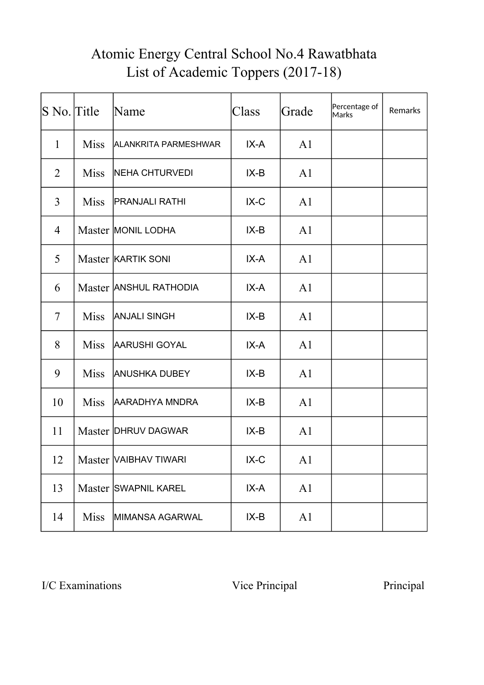| $\vert$ S No. Title |             | Name                        | Class  | Grade | Percentage of<br>Marks | Remarks |
|---------------------|-------------|-----------------------------|--------|-------|------------------------|---------|
| $\mathbf{1}$        | <b>Miss</b> | <b>ALANKRITA PARMESHWAR</b> | IX-A   | A1    |                        |         |
| $\overline{2}$      | <b>Miss</b> | <b>NEHA CHTURVEDI</b>       | $IX-B$ | A1    |                        |         |
| $\overline{3}$      | <b>Miss</b> | <b>PRANJALI RATHI</b>       | $IX-C$ | A1    |                        |         |
| $\overline{4}$      |             | Master   MONIL LODHA        | $IX-B$ | A1    |                        |         |
| 5                   |             | Master KARTIK SONI          | IX-A   | A1    |                        |         |
| 6                   |             | Master ANSHUL RATHODIA      | $IX-A$ | A1    |                        |         |
| $\overline{7}$      | <b>Miss</b> | <b>ANJALI SINGH</b>         | $IX-B$ | A1    |                        |         |
| 8                   | <b>Miss</b> | <b>AARUSHI GOYAL</b>        | IX-A   | A1    |                        |         |
| 9                   | <b>Miss</b> | <b>ANUSHKA DUBEY</b>        | $IX-B$ | A1    |                        |         |
| 10                  | <b>Miss</b> | <b>AARADHYA MNDRA</b>       | $IX-B$ | A1    |                        |         |
| 11                  |             | Master DHRUV DAGWAR         | $IX-B$ | A1    |                        |         |
| 12                  |             | Master VAIBHAV TIWARI       | $IX-C$ | A1    |                        |         |
| 13                  |             | Master SWAPNIL KAREL        | IX-A   | A1    |                        |         |
| 14                  | Miss        | MIMANSA AGARWAL             | $IX-B$ | A1    |                        |         |

I/C Examinations Vice Principal Principal Principal